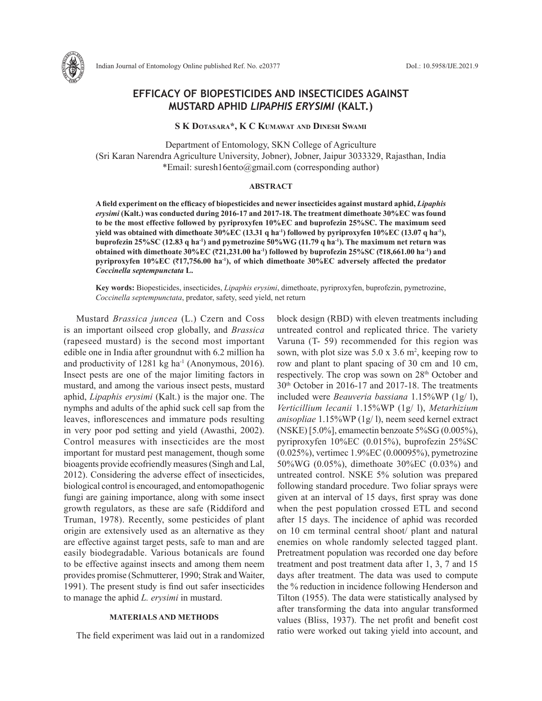

# **EFFICACY OF BIOPESTICIDES AND INSECTICIDES AGAINST MUSTARD APHID** *LIPAPHIS ERYSIMI* **(KALT.)**

**S K Dotasara\*, K C Kumawat and Dinesh Swami**

Department of Entomology, SKN College of Agriculture (Sri Karan Narendra Agriculture University, Jobner), Jobner, Jaipur 3033329, Rajasthan, India \*Email: suresh16ento@gmail.com (corresponding author)

#### **ABSTRACT**

**A field experiment on the efficacy of biopesticides and newer insecticides against mustard aphid,** *Lipaphis erysimi* **(Kalt.) was conducted during 2016-17 and 2017-18. The treatment dimethoate 30%EC was found to be the most effective followed by pyriproxyfen 10%EC and buprofezin 25%SC. The maximum seed**  yield was obtained with dimethoate 30%EC (13.31 q ha<sup>-1</sup>) followed by pyriproxyfen 10%EC (13.07 q ha<sup>-1</sup>), **buprofezin 25%SC (12.83 q ha-1) and pymetrozine 50%WG (11.79 q ha-1). The maximum net return was obtained with dimethoate 30%EC (**`**21,231.00 ha-1) followed by buprofezin 25%SC (**`**18,661.00 ha-1) and pyriproxyfen 10%EC (**`**17,756.00 ha-1), of which dimethoate 30%EC adversely affected the predator**  *Coccinella septempunctata* **L.**

**Key words:** Biopesticides, insecticides, *Lipaphis erysimi*, dimethoate, pyriproxyfen, buprofezin, pymetrozine, *Coccinella septempunctata*, predator, safety, seed yield, net return

Mustard *Brassica juncea* (L.) Czern and Coss is an important oilseed crop globally, and *Brassica* (rapeseed mustard) is the second most important edible one in India after groundnut with 6.2 million ha and productivity of  $1281 \text{ kg}$  ha<sup>-1</sup> (Anonymous, 2016). Insect pests are one of the major limiting factors in mustard, and among the various insect pests, mustard aphid, *Lipaphis erysimi* (Kalt.) is the major one. The nymphs and adults of the aphid suck cell sap from the leaves, inflorescences and immature pods resulting in very poor pod setting and yield (Awasthi, 2002). Control measures with insecticides are the most important for mustard pest management, though some bioagents provide ecofriendly measures (Singh and Lal, 2012). Considering the adverse effect of insecticides, biological control is encouraged, and entomopathogenic fungi are gaining importance, along with some insect growth regulators, as these are safe (Riddiford and Truman, 1978). Recently, some pesticides of plant origin are extensively used as an alternative as they are effective against target pests, safe to man and are easily biodegradable. Various botanicals are found to be effective against insects and among them neem provides promise (Schmutterer, 1990; Strak and Waiter, 1991). The present study is find out safer insecticides to manage the aphid *L. erysimi* in mustard.

## **MATERIALS AND METHODS**

The field experiment was laid out in a randomized

block design (RBD) with eleven treatments including untreated control and replicated thrice. The variety Varuna (T- 59) recommended for this region was sown, with plot size was  $5.0 \times 3.6$  m<sup>2</sup>, keeping row to row and plant to plant spacing of 30 cm and 10 cm, respectively. The crop was sown on 28<sup>th</sup> October and 30th October in 2016-17 and 2017-18. The treatments included were *Beauveria bassiana* 1.15%WP (1g/ l), *Verticillium lecanii* 1.15%WP (1g/ l), *Metarhizium anisopliae* 1.15%WP (1g/ l), neem seed kernel extract (NSKE) [5.0%], emamectin benzoate 5%SG (0.005%), pyriproxyfen 10%EC (0.015%), buprofezin 25%SC (0.025%), vertimec 1.9%EC (0.00095%), pymetrozine 50%WG (0.05%), dimethoate 30%EC (0.03%) and untreated control. NSKE 5% solution was prepared following standard procedure. Two foliar sprays were given at an interval of 15 days, first spray was done when the pest population crossed ETL and second after 15 days. The incidence of aphid was recorded on 10 cm terminal central shoot/ plant and natural enemies on whole randomly selected tagged plant. Pretreatment population was recorded one day before treatment and post treatment data after 1, 3, 7 and 15 days after treatment. The data was used to compute the % reduction in incidence following Henderson and Tilton (1955). The data were statistically analysed by after transforming the data into angular transformed values (Bliss, 1937). The net profit and benefit cost ratio were worked out taking yield into account, and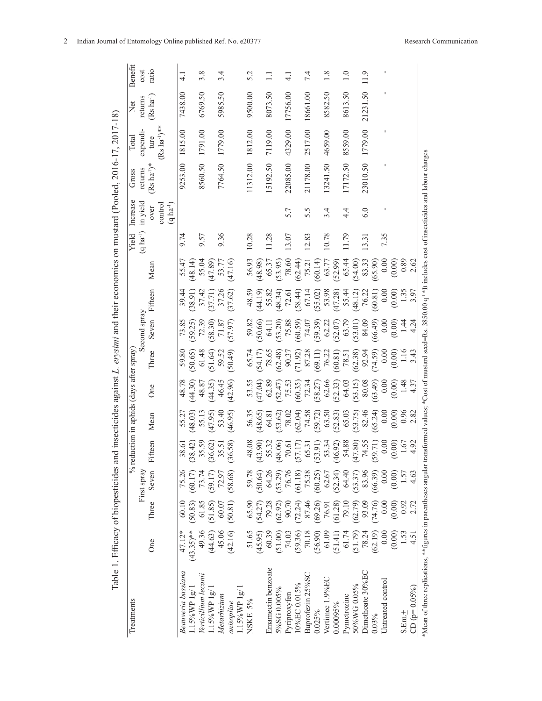|                                                                                                                                  | Benefit                                    | cost                  | ratio            |                                  |                  | $\frac{1}{4}$      |                   | 3.8                  |                      | 3.4         |            |                  | 5.2     |         | $\Box$             |                    | $\frac{1}{4}$ |             | 74                 |         | 1.8                                                       |                      | $\frac{0}{1}$  |                                              | 11.9             |         |                   |          |       |                |                                                                                                                    |
|----------------------------------------------------------------------------------------------------------------------------------|--------------------------------------------|-----------------------|------------------|----------------------------------|------------------|--------------------|-------------------|----------------------|----------------------|-------------|------------|------------------|---------|---------|--------------------|--------------------|---------------|-------------|--------------------|---------|-----------------------------------------------------------|----------------------|----------------|----------------------------------------------|------------------|---------|-------------------|----------|-------|----------------|--------------------------------------------------------------------------------------------------------------------|
| Table 1. Efficacy of biopesticides and insecticides against L. erysimi and their economics on mustard (Pooled, 2016-17, 2017-18) | Net                                        | returns               | $(Rs ha^{-1})$   |                                  |                  | 7438.00            |                   | 6769.50              |                      | 5985.50     |            |                  | 9500.00 |         | 8073.50            |                    | 17756.00      |             | 18661.00           |         | 8582.50                                                   |                      | 8613.50        |                                              | 21231.50         |         |                   |          |       |                |                                                                                                                    |
|                                                                                                                                  | Total                                      | expendi-              | ture             | $\text{Rs} \ \text{ha}^{-1}$ )** |                  | 1815.00            |                   | 1791.00              |                      | 1779.00     |            |                  | 1812.00 |         | 7119.00            |                    | 4329.00       |             | 2517.00            |         | 4659.00                                                   |                      | 8559.00        |                                              | 1779.00          |         |                   |          |       |                |                                                                                                                    |
|                                                                                                                                  | Gross                                      | returns               | $(Rs'ha^{-1})^*$ |                                  |                  | 9253.00            |                   | 8560.50              |                      | 7764.50     |            |                  | 1312.00 |         | 5192.50            |                    | 22085.00      |             | 21178.00           |         | 13241.50                                                  |                      | 17172.50       |                                              | 23010.50         |         |                   |          |       |                | ransformed values; *Cost of mustard seed=Rs. 3850.00 $q^{-1}$ *It includes cost of insecticides and labour charges |
|                                                                                                                                  | Increase                                   | in yield              | over             | control                          | $(q \, ha^{-1})$ |                    |                   |                      |                      |             |            |                  |         |         |                    |                    | 5.7           |             | 5.5                |         | 3.4                                                       |                      | $4\frac{4}{1}$ |                                              | 6.0              |         |                   |          |       |                |                                                                                                                    |
|                                                                                                                                  | Yield                                      | $(q \text{ ha}^{-1})$ |                  |                                  |                  | 9.74               |                   | 9.57                 |                      | 9.36        |            |                  | 10.28   |         | 11.28              |                    | 13.07         |             | 12.83              |         | 10.78                                                     |                      | 11.79          |                                              | 13.31            |         | 7.35              |          |       |                |                                                                                                                    |
|                                                                                                                                  |                                            |                       | Mean             |                                  |                  | 55.47              | (48.14)           | 55.04                | (47.89)              | 53.77       | (47.16)    |                  | 56.93   | (48.98) | 65.37              | (53.95)            | 78.60         | (62.44)     | 75.21              | (60.14) | 63.77                                                     | $(52.99)$<br>$65.44$ |                | (54.00)                                      | 83.33            | (65.90) | $0.00\,$          | (0.00)   | 0.89  | 2.62           |                                                                                                                    |
|                                                                                                                                  |                                            | Second spray          | Fifteen          |                                  |                  | 39.44              | (38.91)           | 37.42                | $(37.71)$<br>$37.26$ |             | (37.62)    |                  | 48.59   | (44.19) | 55.82              | (48.34)            | 72.61         | (58.44)     | 67.14              |         | $(55.02)$<br>$53.98$<br>$(47.28)$<br>$55.44$<br>$(48.12)$ |                      |                |                                              | 76.22            | (60.81) | 0.00              | $(0.00)$ | 1.35  | 3.97           |                                                                                                                    |
|                                                                                                                                  |                                            |                       | Seven            |                                  |                  | 73.85              | (59.25)           | 72.39                | (58.30)              | 71.87       | (57.97)    |                  | 59.82   | (50.66) | 64.11              | (53.20)            | 75.88         |             | $(60.59)$<br>74.07 | (59.39) | 62.22                                                     | (52.07)              | 63.79          | $(53.01)$<br>84.09                           |                  | (66.49) | 0.00              | (0.00)   |       | 4.24           |                                                                                                                    |
|                                                                                                                                  |                                            |                       | Three            |                                  |                  | 59.80              | (50.65)           | 61.48                | (51.64)              | 59.52       | (50.49)    |                  | 65.74   | (54.17) | 78.65              | (62.48)            | 90.37         | (71.92)     | 87.28              | (69.11) | 76.22                                                     | (60.81)              | 78.51          | (62.38)                                      | 92.94            | (74.59) | 0.00              | (0.00)   | 1.16  | 3.43           |                                                                                                                    |
|                                                                                                                                  |                                            |                       | <b>One</b>       |                                  |                  | 48.78              | (44.30)           | 48.87                | (44.35)              | 46.45       | (42.96)    |                  | 53.55   | (47.04) | 62.89              | $(52.47)$<br>75.53 |               |             | $(60.35)$<br>72.34 | (58.27) | 62.66                                                     |                      |                | $(52.33)$<br>$64.03$<br>$(53.15)$<br>$80.08$ |                  | (63.49) | $0.00\,$          | (0.00)   | 1.48  | 4.37           |                                                                                                                    |
|                                                                                                                                  | $%$ reduction in aphids (days after spray) |                       | Mean             |                                  |                  | 55.27              | (48.03)           | 55.13                | (47.95)              | 53.40       | (46.95)    |                  | 56.35   | (48.65) | 64.81              | (53.62)            | 78.02         | (62.04)     | 74.58              | (59.72) | (52.83)                                                   |                      |                | $65.03$<br>$(53.75)$                         | 82.46            | (65.24) | 0.00              | (0.00)   | 0.96  | 2.82           |                                                                                                                    |
|                                                                                                                                  |                                            |                       | Fifteen          |                                  |                  | 38.61              | (38.42)           | 35.59                | (36.62)              | 35.51       | (36.58)    |                  | 48.08   | (43.90) | 55.32              | (48.06)            | 70.61         | (57.17)     | 65.31              | (53.91) | 53.34                                                     | (46.92)              | 54.88          | (47.80)                                      | 74.55            | 59.71)  | $0.00\,$          | (0.00)   | 1.67  | 4.92           |                                                                                                                    |
|                                                                                                                                  |                                            | First spray           | Seven            |                                  |                  | 75.26              | (60.17)           | 73.74                | (59.17)              | 72.97       | (58.68)    |                  | 59.78   | (50.64) | 64.26              | (53.29)            | 76.76         | (61.18)     | 75.38              | (60.25) | 62.67                                                     | (52.34)              | 64.40          | (53.37)                                      | 83.96            | (66.39) | 0.00              | (0.00)   | 1.57  | 4.63           |                                                                                                                    |
|                                                                                                                                  |                                            |                       | Three            |                                  |                  | 60.10              | (50.83)           | 61.85                | (51.85)              | 60.07       | (50.81)    |                  | 65.90   | (54.27) | 79.28              | (62.92)            | 90.70         | (72.24)     | 87.46              | (69.26) | 76.91                                                     | (61.28)              | 79.10          | (62.79)                                      | 93.09            | (74.76) | 0.00              | (0.00)   | 0.92  | 2.72           |                                                                                                                    |
|                                                                                                                                  |                                            |                       | One              |                                  |                  | 47.12*             | $(43.35)$ **      | 49.36                | (44.63)              | 45.06       | (42.16)    |                  | 51.65   | (45.95) | 60.39              | (51.00)            | 74.03         | (59.36)     | 70.18              | (56.90) | 61.09                                                     | (51.41)              | 61.74          | (51.79)                                      | 78.24            | (62.19) | 0.00              | (0.00)   | 1.53  | 4.51           |                                                                                                                    |
|                                                                                                                                  | Treatments                                 |                       |                  |                                  |                  | Beauveria bassiana | $1.15\%$ WP $1g/$ | Verticillium lecanii | $1.15\%$ WP $1g$     | Metarhizium | anisopliae | $1.15\%$ WP $1g$ | NSKE 5% |         | Emamectin benzoate | 5%SG0.005%         | Pyriproxyfen  | 10%EC0.015% | Buprofezin 25%SC   | 0.025%  | Vertimec 1.9%EC                                           | 0.00095%             | Pymetrozine    | 50%WG 0.05%                                  | Dimethoate 30%EC | 0.03%   | Untreated control |          | S.Em. | $CD (p=0.05%)$ | *Mean of three replications, ** figures in parentheses angular                                                     |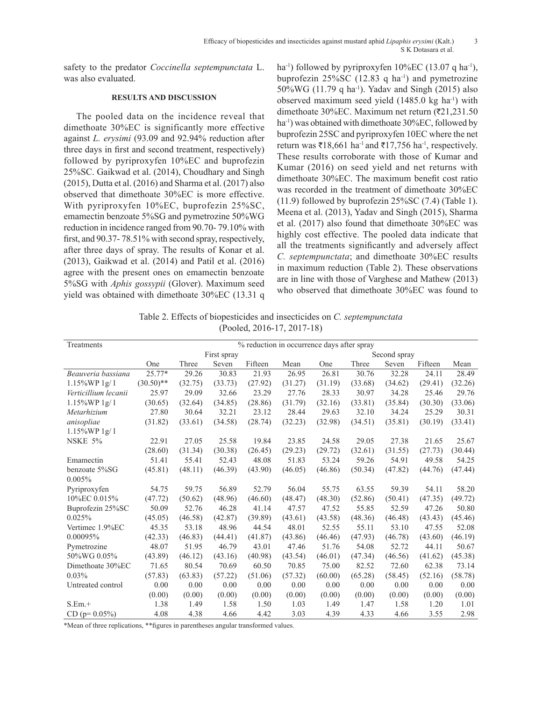safety to the predator *Coccinella septempunctata* L. was also evaluated.

### **RESULTS AND DISCUSSION**

The pooled data on the incidence reveal that dimethoate 30%EC is significantly more effective against *L. erysimi* (93.09 and 92.94% reduction after three days in first and second treatment, respectively) followed by pyriproxyfen 10%EC and buprofezin 25%SC. Gaikwad et al. (2014), Choudhary and Singh (2015), Dutta et al. (2016) and Sharma et al. (2017) also observed that dimethoate 30%EC is more effective. With pyriproxyfen 10%EC, buprofezin 25%SC, emamectin benzoate 5%SG and pymetrozine 50%WG reduction in incidence ranged from 90.70- 79.10% with first, and 90.37- 78.51% with second spray, respectively, after three days of spray. The results of Konar et al. (2013), Gaikwad et al. (2014) and Patil et al. (2016) agree with the present ones on emamectin benzoate 5%SG with *Aphis gossypii* (Glover). Maximum seed yield was obtained with dimethoate 30%EC (13.31 q ha<sup>-1</sup>) followed by pyriproxyfen  $10\%$ EC (13.07 q ha<sup>-1</sup>), buprofezin  $25\%$ SC (12.83 q ha<sup>-1</sup>) and pymetrozine  $50\%$ WG (11.79 q ha<sup>-1</sup>). Yadav and Singh (2015) also observed maximum seed yield  $(1485.0 \text{ kg ha}^{-1})$  with dimethoate 30%EC. Maximum net return  $(21,231.50)$ ha<sup>-1</sup>) was obtained with dimethoate 30%EC, followed by buprofezin 25SC and pyriproxyfen 10EC where the net return was  $\bar{\tau}$ 18,661 ha<sup>-1</sup> and  $\bar{\tau}$ 17,756 ha<sup>-1</sup>, respectively. These results corroborate with those of Kumar and Kumar (2016) on seed yield and net returns with dimethoate 30%EC. The maximum benefit cost ratio was recorded in the treatment of dimethoate 30%EC (11.9) followed by buprofezin 25%SC (7.4) (Table 1). Meena et al. (2013), Yadav and Singh (2015), Sharma et al. (2017) also found that dimethoate 30%EC was highly cost effective. The pooled data indicate that all the treatments significantly and adversely affect *C. septempunctata*; and dimethoate 30%EC results in maximum reduction (Table 2). These observations are in line with those of Varghese and Mathew (2013) who observed that dimethoate 30%EC was found to

Table 2. Effects of biopesticides and insecticides on *C. septempunctata* (Pooled, 2016-17, 2017-18)

| Treatments           |              | % reduction in occurrence days after spray |             |         |         |              |         |         |         |         |  |  |  |  |  |
|----------------------|--------------|--------------------------------------------|-------------|---------|---------|--------------|---------|---------|---------|---------|--|--|--|--|--|
|                      |              |                                            | First spray |         |         | Second spray |         |         |         |         |  |  |  |  |  |
|                      | One          | Three                                      | Seven       | Fifteen | Mean    | One          | Three   | Seven   | Fifteen | Mean    |  |  |  |  |  |
| Beauveria bassiana   | $25.77*$     | 29.26                                      | 30.83       | 21.93   | 26.95   | 26.81        | 30.76   | 32.28   | 24.11   | 28.49   |  |  |  |  |  |
| $1.15\%WP1g/1$       | $(30.50)$ ** | (32.75)                                    | (33.73)     | (27.92) | (31.27) | (31.19)      | (33.68) | (34.62) | (29.41) | (32.26) |  |  |  |  |  |
| Verticillium lecanii | 25.97        | 29.09                                      | 32.66       | 23.29   | 27.76   | 28.33        | 30.97   | 34.28   | 25.46   | 29.76   |  |  |  |  |  |
| $1.15\%$ WP 1g/1     | (30.65)      | (32.64)                                    | (34.85)     | (28.86) | (31.79) | (32.16)      | (33.81) | (35.84) | (30.30) | (33.06) |  |  |  |  |  |
| Metarhizium          | 27.80        | 30.64                                      | 32.21       | 23.12   | 28.44   | 29.63        | 32.10   | 34.24   | 25.29   | 30.31   |  |  |  |  |  |
| anisopliae           | (31.82)      | (33.61)                                    | (34.58)     | (28.74) | (32.23) | (32.98)      | (34.51) | (35.81) | (30.19) | (33.41) |  |  |  |  |  |
| $1.15\%$ WP 1g/1     |              |                                            |             |         |         |              |         |         |         |         |  |  |  |  |  |
| NSKE 5%              | 22.91        | 27.05                                      | 25.58       | 19.84   | 23.85   | 24.58        | 29.05   | 27.38   | 21.65   | 25.67   |  |  |  |  |  |
|                      | (28.60)      | (31.34)                                    | (30.38)     | (26.45) | (29.23) | (29.72)      | (32.61) | (31.55) | (27.73) | (30.44) |  |  |  |  |  |
| Emamectin            | 51.41        | 55.41                                      | 52.43       | 48.08   | 51.83   | 53.24        | 59.26   | 54.91   | 49.58   | 54.25   |  |  |  |  |  |
| benzoate 5%SG        | (45.81)      | (48.11)                                    | (46.39)     | (43.90) | (46.05) | (46.86)      | (50.34) | (47.82) | (44.76) | (47.44) |  |  |  |  |  |
| 0.005%               |              |                                            |             |         |         |              |         |         |         |         |  |  |  |  |  |
| Pyriproxyfen         | 54.75        | 59.75                                      | 56.89       | 52.79   | 56.04   | 55.75        | 63.55   | 59.39   | 54.11   | 58.20   |  |  |  |  |  |
| 10%EC 0.015%         | (47.72)      | (50.62)                                    | (48.96)     | (46.60) | (48.47) | (48.30)      | (52.86) | (50.41) | (47.35) | (49.72) |  |  |  |  |  |
| Buprofezin 25%SC     | 50.09        | 52.76                                      | 46.28       | 41.14   | 47.57   | 47.52        | 55.85   | 52.59   | 47.26   | 50.80   |  |  |  |  |  |
| 0.025%               | (45.05)      | (46.58)                                    | (42.87)     | (39.89) | (43.61) | (43.58)      | (48.36) | (46.48) | (43.43) | (45.46) |  |  |  |  |  |
| Vertimec 1.9%EC      | 45.35        | 53.18                                      | 48.96       | 44.54   | 48.01   | 52.55        | 55.11   | 53.10   | 47.55   | 52.08   |  |  |  |  |  |
| 0.00095%             | (42.33)      | (46.83)                                    | (44.41)     | (41.87) | (43.86) | (46.46)      | (47.93) | (46.78) | (43.60) | (46.19) |  |  |  |  |  |
| Pymetrozine          | 48.07        | 51.95                                      | 46.79       | 43.01   | 47.46   | 51.76        | 54.08   | 52.72   | 44.11   | 50.67   |  |  |  |  |  |
| 50%WG 0.05%          | (43.89)      | (46.12)                                    | (43.16)     | (40.98) | (43.54) | (46.01)      | (47.34) | (46.56) | (41.62) | (45.38) |  |  |  |  |  |
| Dimethoate 30%EC     | 71.65        | 80.54                                      | 70.69       | 60.50   | 70.85   | 75.00        | 82.52   | 72.60   | 62.38   | 73.14   |  |  |  |  |  |
| 0.03%                | (57.83)      | (63.83)                                    | (57.22)     | (51.06) | (57.32) | (60.00)      | (65.28) | (58.45) | (52.16) | (58.78) |  |  |  |  |  |
| Untreated control    | 0.00         | 0.00                                       | 0.00        | 0.00    | 0.00    | 0.00         | 0.00    | 0.00    | 0.00    | 0.00    |  |  |  |  |  |
|                      | (0.00)       | (0.00)                                     | (0.00)      | (0.00)  | (0.00)  | (0.00)       | (0.00)  | (0.00)  | (0.00)  | (0.00)  |  |  |  |  |  |
| $S.Em. +$            | 1.38         | 1.49                                       | 1.58        | 1.50    | 1.03    | 1.49         | 1.47    | 1.58    | 1.20    | 1.01    |  |  |  |  |  |
| $CD (p=0.05%)$       | 4.08         | 4.38                                       | 4.66        | 4.42    | 3.03    | 4.39         | 4.33    | 4.66    | 3.55    | 2.98    |  |  |  |  |  |

\*Mean of three replications, \*\*figures in parentheses angular transformed values.